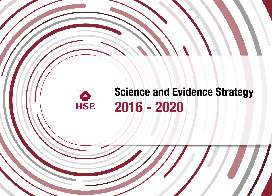# Science and Evidence Strategy 2016 - 2020

ENE<br>HSE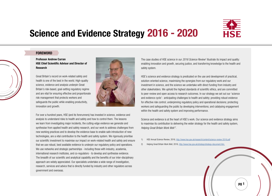# Science and Evidence Strategy 2016 - 2020



# **FOREWORD**

# Professor Andrew Curran HSE Chief Scientific Advisor and Director of Research

Great Britain's record on work-related safety and health is one of the best in the world. High-quality science, evidence and analysis underpin Great Britain's risk-based, goal-setting regulatory regime and are vital for ensuring effective and proportionate risk management that protects workers and safeguards the public while enabling productivity, innovation and growth.



For over a hundred years, HSE (and its forerunners) has invested in science, evidence and analysis to understand risks to health and safety and how to control them. The lessons we learn from investigating major incidents, the cutting-edge evidence we generate and synthesise from applied health and safety research, and our work to address challenges from new working practices and to develop the evidence base to enable safe introduction of new technologies, are a vital contribution to the health and safety system. We rigorously prioritise our scientific investment to maximise our impact on work-related health and safety and ensure that we use robust, best available evidence to underpin our regulatory policy and operations. We use networks and strategic partnerships - including those with industry, academia, international research institutes, and co-regulators - to develop and synthesise evidence. The breadth of our scientific and analytical capability and the benefits of our inter-disciplinary approach are widely appreciated. Our specialists undertake a wide range of investigation, research, services and advice that is directly funded by industry and other regulators across government and overseas.

The case studies of HSE science in our 2016 Science Review<sup>1</sup> illustrate its impact and quality: enabling innovation and growth, securing justice, and transferring knowledge to the health and safety system.

HSE's science and evidence strategy is predicated on the use and development of practical, solution-oriented science, maximising the synergies from our regulatory work and our investment in science, and the science we undertake with direct funding from industry and other stakeholders. We uphold the highest standards of scientific ethics, and are committed to peer-review and open access to research outcomes. In our strategy we set out our 'science and evidence cycle': anticipating challenges to health and safety; providing robust evidence for effective risk control; underpinning regulatory policy and operational decisions; protecting workers and safeguarding the public by developing interventions; and catalysing engagement within the health and safety system and improving performance.

Science and evidence is at the heart of HSE's work. Our science and evidence strategy aims to maximise its contribution to delivering the wider strategy for the health and safety system, *Helping Great Britain Work Well 2* .

- 1) HSE Annual Science Review, 2016,<http://www.hse.gov.uk/research/content/science-review-2016.pdf>
- 2) Helping Great Britain Work Well, 2016, [http://www.hse.gov.uk/strategy/strategy-document.htm](http://www.hse.gov.uk/strategy/strategy-document.htm )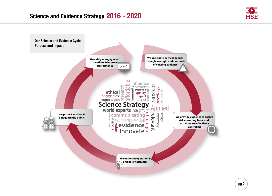

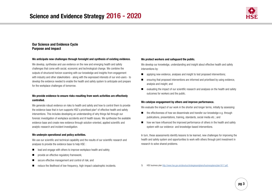

# Our Science and Evidence Cycle Purpose and impact

# We anticipate new challenges through foresight and synthesis of existing evidence.

We develop, synthesise and use evidence on the new and emerging health and safety challenges that come with social, economic and technological change. We combine the outputs of structured horizon scanning with our knowledge and insights from engagement with industry and other stakeholders - along with the expressed interests of our end-users - to develop the evidence needed to enable the health and safety system to anticipate and prepare for the workplace challenges of tomorrow.

# We provide evidence to ensure risks resulting from work activities are effectively controlled.

We generate robust evidence on risks to health and safety and how to control them to provide the evidence base that in turn supports HSE's prioritised plan<sup>3</sup> of effective health and safety interventions. This includes developing an understanding of why things fail through our forensic investigation of workplace accidents and ill health issues. We synthesise the available evidence base and create new evidence through solution-oriented, applied scientific and analytic research and incident investigation.

# We underpin operational and policy activities.

We use our scientific and technical capability and the results of our scientific research and analyses to provide the evidence base to help HSE :

- $\blacksquare$  lead and engage with others to improve workplace health and safety;
- provide an effective regulatory framework;
- secure effective management and control of risk; and
- reduce the likelihood of low-frequency, high-impact catastrophic incidents.

# We protect workers and safeguard the public.

We develop our knowledge, understanding and insight about effective health and safety interventions by:

- $\Box$  applying new evidence, analyses and insight to test proposed interventions;
- $\blacksquare$  ensuring that proposed interventions are informed and prioritised by using evidence, analysis and insight; and
- $\blacksquare$  evaluating the impact of our scientific research and analyses on the health and safety outcomes for workers and the public.

# We catalyse engagement by others and improve performance.

We evaluate the impact of our work in the shorter and longer terms, initially by assessing:

- $\blacksquare$  the effectiveness of how we disseminate and transfer our knowledge e.g. through publications, presentations, training, standards, social media etc.; and
- $\blacksquare$  how we have influenced the improved performance of others in the health and safety system with our evidence- and knowledge-based interventions.

In turn, these assessments identify lessons to be learned, new challenges for improving the health and safety system and opportunities to work with others through joint investment in research to solve shared problems.

3) HSE business plan [http://www.hse.gov.uk/aboutus/strategiesandplans/businessplans/plan1617.pdf](http://www.hse.gov.uk/aboutus/strategiesandplans/businessplans/plan1617.pdf )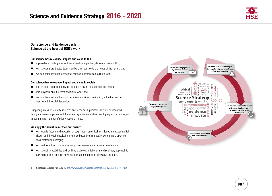

# Our Science and Evidence cycle Science at the heart of HSE's work

# Our science has relevance, impact and value to HSE:

- $\blacksquare$  it provides a challenge to, and has a positive impact on, decisions made in HSE;
- $\Box$  our scientists are trusted team members, responsive to the needs of their users; and
- $\blacksquare$  we can demonstrate the impact of science's contribution to HSE's work.

### Our science has relevance, impact and value to society:

- $\blacksquare$  it is credible because it delivers solutions relevant to users and their needs:
- it is insightful about current and future work; and
- $\blacksquare$  we can demonstrate the impact of science's wider contribution, in the knowledge transferred through interventions.

Our priority areas of scientific research and technical support for HSE<sup>4</sup> will be identified through active engagement with the whole organisation, with research programmes managed through a small number of priority research hubs.

# We apply the scientific method and ensure:

- $\Box$  our experts focus on what works, through robust analytical techniques and experimental rigour, and through developing evidence bases by using quality systems and applying their professional integrity;
- $\Box$  our work is subject to ethical scrutiny, peer review and external evaluation; and
- $\Box$  our scientific capabilities and facilities enable us to take an interdisciplinary approach to solving problems that can have multiple factors, enabling innovative solutions.

4) Science and Evidence Plan 2016-17 <http://www.hse.gov.uk/research/content/science-evidence-plan-1617.pdf>